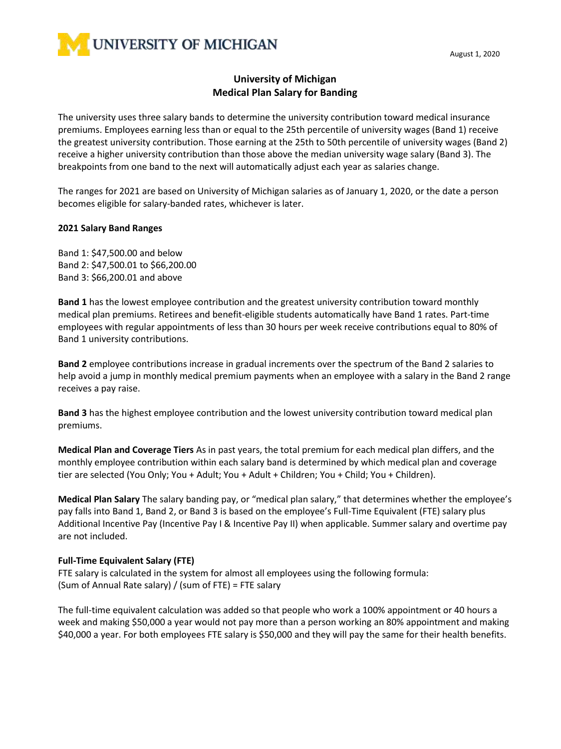

# **University of Michigan Medical Plan Salary for Banding**

The university uses three salary bands to determine the university contribution toward medical insurance premiums. Employees earning less than or equal to the 25th percentile of university wages (Band 1) receive the greatest university contribution. Those earning at the 25th to 50th percentile of university wages (Band 2) receive a higher university contribution than those above the median university wage salary (Band 3). The breakpoints from one band to the next will automatically adjust each year as salaries change.

The ranges for 2021 are based on University of Michigan salaries as of January 1, 2020, or the date a person becomes eligible for salary-banded rates, whichever is later.

#### **2021 Salary Band Ranges**

Band 1: \$47,500.00 and below Band 2: \$47,500.01 to \$66,200.00 Band 3: \$66,200.01 and above

**Band 1** has the lowest employee contribution and the greatest university contribution toward monthly medical plan premiums. Retirees and benefit-eligible students automatically have Band 1 rates. Part-time employees with regular appointments of less than 30 hours per week receive contributions equal to 80% of Band 1 university contributions.

**Band 2** employee contributions increase in gradual increments over the spectrum of the Band 2 salaries to help avoid a jump in monthly medical premium payments when an employee with a salary in the Band 2 range receives a pay raise.

**Band 3** has the highest employee contribution and the lowest university contribution toward medical plan premiums.

**Medical Plan and Coverage Tiers** As in past years, the total premium for each medical plan differs, and the monthly employee contribution within each salary band is determined by which medical plan and coverage tier are selected (You Only; You + Adult; You + Adult + Children; You + Child; You + Children).

**Medical Plan Salary** The salary banding pay, or "medical plan salary," that determines whether the employee's pay falls into Band 1, Band 2, or Band 3 is based on the employee's Full-Time Equivalent (FTE) salary plus Additional Incentive Pay (Incentive Pay I & Incentive Pay II) when applicable. Summer salary and overtime pay are not included.

#### **Full-Time Equivalent Salary (FTE)**

FTE salary is calculated in the system for almost all employees using the following formula: (Sum of Annual Rate salary) / (sum of FTE) = FTE salary

The full-time equivalent calculation was added so that people who work a 100% appointment or 40 hours a week and making \$50,000 a year would not pay more than a person working an 80% appointment and making \$40,000 a year. For both employees FTE salary is \$50,000 and they will pay the same for their health benefits.